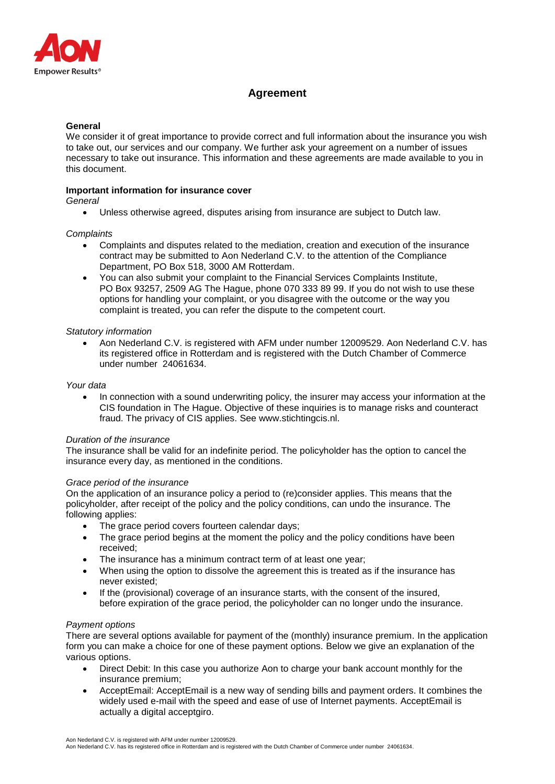

# **Agreement**

## **General**

We consider it of great importance to provide correct and full information about the insurance you wish to take out, our services and our company. We further ask your agreement on a number of issues necessary to take out insurance. This information and these agreements are made available to you in this document.

# **Important information for insurance cover**

*General*

Unless otherwise agreed, disputes arising from insurance are subject to Dutch law.

## *Complaints*

- Complaints and disputes related to the mediation, creation and execution of the insurance contract may be submitted to Aon Nederland C.V. to the attention of the Compliance Department, PO Box 518, 3000 AM Rotterdam.
- You can also submit your complaint to the Financial Services Complaints Institute, PO Box 93257, 2509 AG The Hague, phone 070 333 89 99. If you do not wish to use these options for handling your complaint, or you disagree with the outcome or the way you complaint is treated, you can refer the dispute to the competent court.

## *Statutory information*

 Aon Nederland C.V. is registered with AFM under number 12009529. Aon Nederland C.V. has its registered office in Rotterdam and is registered with the Dutch Chamber of Commerce under number 24061634.

## *Your data*

 In connection with a sound underwriting policy, the insurer may access your information at the CIS foundation in The Hague. Objective of these inquiries is to manage risks and counteract fraud. The privacy of CIS applies. See [www.stichtingcis.nl.](http://www.stichtingcis.nl/)

## *Duration of the insurance*

The insurance shall be valid for an indefinite period. The policyholder has the option to cancel the insurance every day, as mentioned in the conditions.

## *Grace period of the insurance*

On the application of an insurance policy a period to (re)consider applies. This means that the policyholder, after receipt of the policy and the policy conditions, can undo the insurance. The following applies:

- The grace period covers fourteen calendar days:
- The grace period begins at the moment the policy and the policy conditions have been received;
- The insurance has a minimum contract term of at least one year;
- When using the option to dissolve the agreement this is treated as if the insurance has never existed;
- If the (provisional) coverage of an insurance starts, with the consent of the insured, before expiration of the grace period, the policyholder can no longer undo the insurance.

## *Payment options*

There are several options available for payment of the (monthly) insurance premium. In the application form you can make a choice for one of these payment options. Below we give an explanation of the various options.

- Direct Debit: In this case you authorize Aon to charge your bank account monthly for the insurance premium;
- AcceptEmail: AcceptEmail is a new way of sending bills and payment orders. It combines the widely used e-mail with the speed and ease of use of Internet payments. AcceptEmail is actually a digital acceptgiro.

Aon Nederland C.V. is registered with AFM under number 12009529.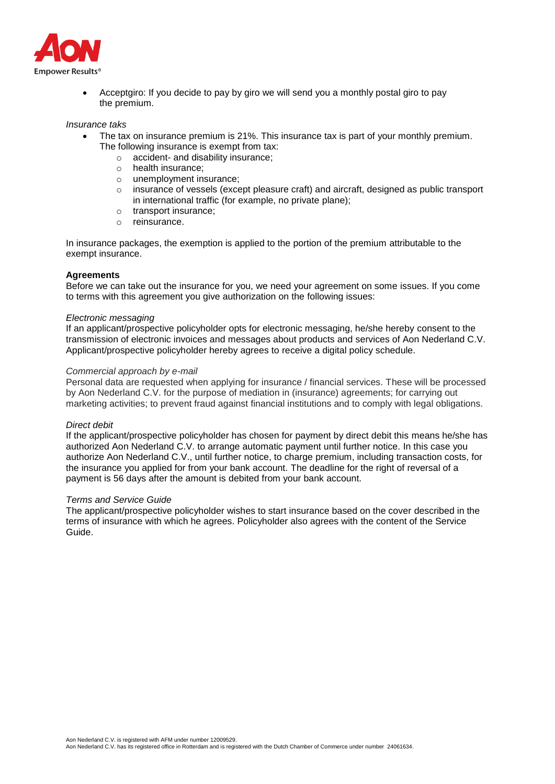

 Acceptgiro: If you decide to pay by giro we will send you a monthly postal giro to pay the premium.

#### *Insurance taks*

- The tax on insurance premium is 21%. This insurance tax is part of your monthly premium. The following insurance is exempt from tax:<br>  $\circ$  accident- and disability insurance:
	- accident- and disability insurance;
	- o health insurance;
	- o unemployment insurance;
	- o insurance of vessels (except pleasure craft) and aircraft, designed as public transport in international traffic (for example, no private plane);
	- o transport insurance;
	- o reinsurance.

In insurance packages, the exemption is applied to the portion of the premium attributable to the exempt insurance.

# **Agreements**

Before we can take out the insurance for you, we need your agreement on some issues. If you come to terms with this agreement you give authorization on the following issues:

#### *Electronic messaging*

If an applicant/prospective policyholder opts for electronic messaging, he/she hereby consent to the transmission of electronic invoices and messages about products and services of Aon Nederland C.V. Applicant/prospective policyholder hereby agrees to receive a digital policy schedule.

#### *Commercial approach by e-mail*

Personal data are requested when applying for insurance / financial services. These will be processed by Aon Nederland C.V. for the purpose of mediation in (insurance) agreements; for carrying out marketing activities; to prevent fraud against financial institutions and to comply with legal obligations.

## *Direct debit*

If the applicant/prospective policyholder has chosen for payment by direct debit this means he/she has authorized Aon Nederland C.V. to arrange automatic payment until further notice. In this case you authorize Aon Nederland C.V., until further notice, to charge premium, including transaction costs, for the insurance you applied for from your bank account. The deadline for the right of reversal of a payment is 56 days after the amount is debited from your bank account.

#### *Terms and Service Guide*

The applicant/prospective policyholder wishes to start insurance based on the cover described in the terms of insurance with which he agrees. Policyholder also agrees with the content of the Service Guide.